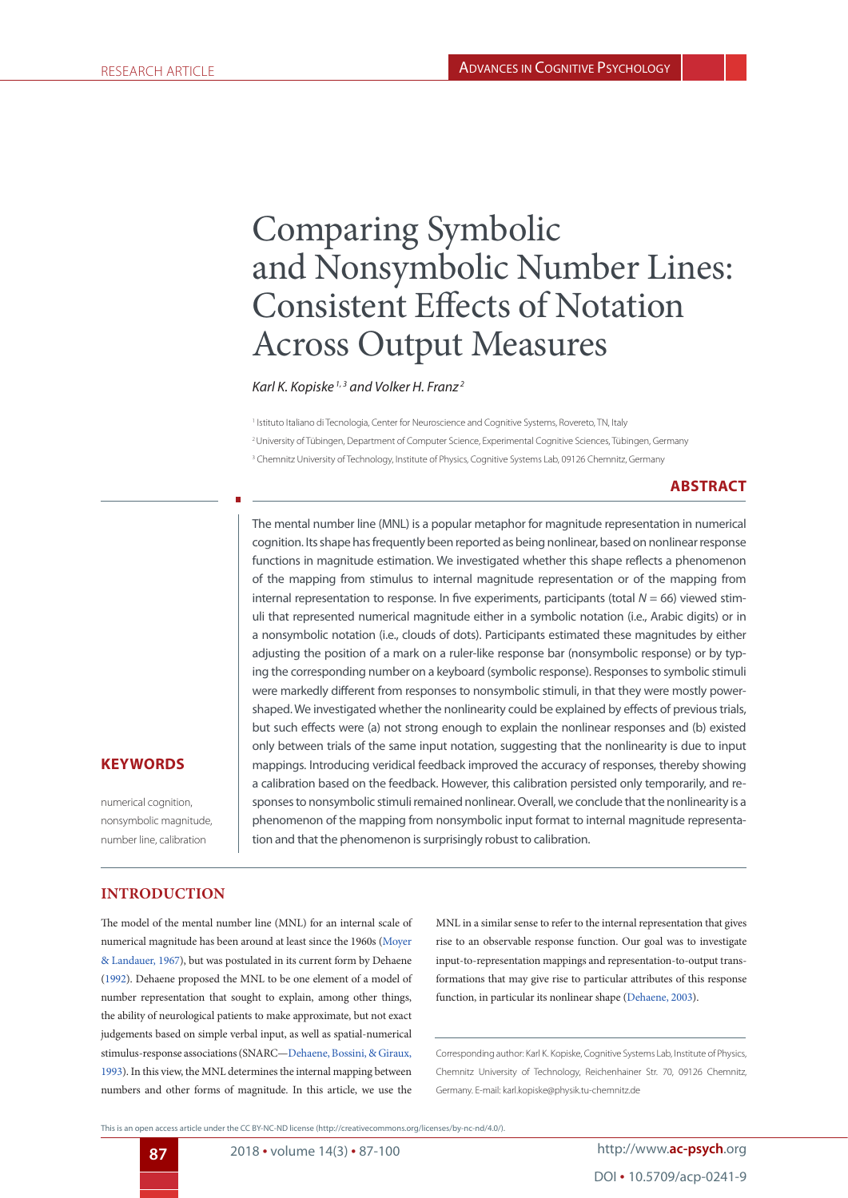# Comparing Symbolic and Nonsymbolic Number Lines: Consistent Effects of Notation Across Output Measures

*Karl K. Kopiske 1, 3 and Volker H. Franz 2*

1 Istituto Italiano di Tecnologia, Center for Neuroscience and Cognitive Systems, Rovereto, TN, Italy 2 University of Tübingen, Department of Computer Science, Experimental Cognitive Sciences, Tübingen, Germany 3 Chemnitz University of Technology, Institute of Physics, Cognitive Systems Lab, 09126 Chemnitz, Germany

## **ABSTRACT**

The mental number line (MNL) is a popular metaphor for magnitude representation in numerical cognition. Its shape has frequently been reported as being nonlinear, based on nonlinear response functions in magnitude estimation. We investigated whether this shape reflects a phenomenon of the mapping from stimulus to internal magnitude representation or of the mapping from internal representation to response. In five experiments, participants (total *N* = 66) viewed stimuli that represented numerical magnitude either in a symbolic notation (i.e., Arabic digits) or in a nonsymbolic notation (i.e., clouds of dots). Participants estimated these magnitudes by either adjusting the position of a mark on a ruler-like response bar (nonsymbolic response) or by typing the corresponding number on a keyboard (symbolic response). Responses to symbolic stimuli were markedly different from responses to nonsymbolic stimuli, in that they were mostly powershaped. We investigated whether the nonlinearity could be explained by effects of previous trials, but such effects were (a) not strong enough to explain the nonlinear responses and (b) existed only between trials of the same input notation, suggesting that the nonlinearity is due to input mappings. Introducing veridical feedback improved the accuracy of responses, thereby showing a calibration based on the feedback. However, this calibration persisted only temporarily, and responses to nonsymbolic stimuli remained nonlinear. Overall, we conclude that the nonlinearity is a phenomenon of the mapping from nonsymbolic input format to internal magnitude representation and that the phenomenon is surprisingly robust to calibration.

## **KEYWORDS**

numerical cognition, nonsymbolic magnitude, number line, calibration

## **INTRODUCTION**

The model of the mental number line (MNL) for an internal scale of numerical magnitude has been around at least since the 1960s (Moyer & Landauer, 1967), but was postulated in its current form by Dehaene (1992). Dehaene proposed the MNL to be one element of a model of number representation that sought to explain, among other things, the ability of neurological patients to make approximate, but not exact judgements based on simple verbal input, as well as spatial-numerical stimulus-response associations (SNARC—Dehaene, Bossini, & Giraux, 1993). In this view, the MNL determines the internal mapping between numbers and other forms of magnitude. In this article, we use the MNL in a similar sense to refer to the internal representation that gives rise to an observable response function. Our goal was to investigate input-to-representation mappings and representation-to-output transformations that may give rise to particular attributes of this response function, in particular its nonlinear shape (Dehaene, 2003).

Corresponding author: Karl K. Kopiske, Cognitive Systems Lab, Institute of Physics, Chemnitz University of Technology, Reichenhainer Str. 70, 09126 Chemnitz, Germany. E-mail: karl.kopiske@physik.tu-chemnitz.de

This is an open access article under the CC BY-NC-ND license (http://creativecommons.org/licenses/by-nc-nd/4.0/).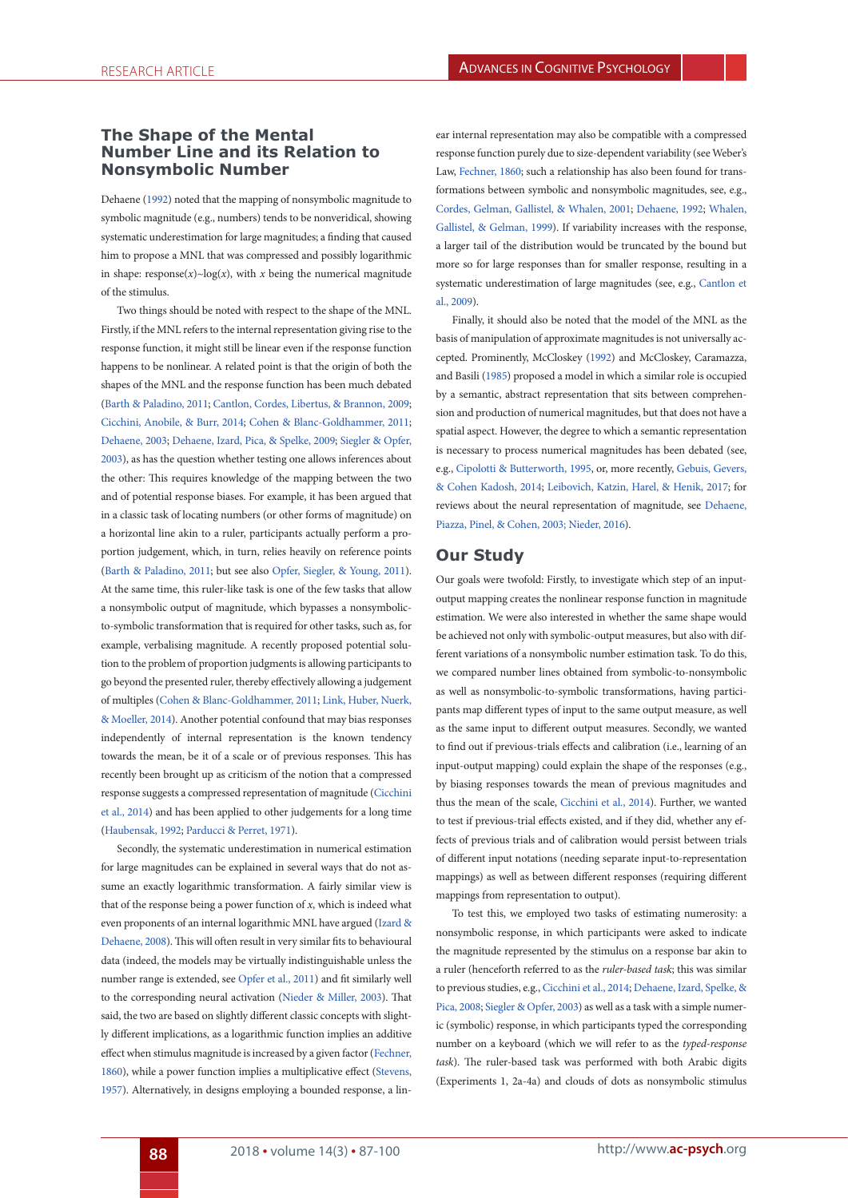## **The Shape of the Mental Number Line and its Relation to Nonsymbolic Number**

Dehaene (1992) noted that the mapping of nonsymbolic magnitude to symbolic magnitude (e.g., numbers) tends to be nonveridical, showing systematic underestimation for large magnitudes; a finding that caused him to propose a MNL that was compressed and possibly logarithmic in shape: response( $x$ )~log( $x$ ), with  $x$  being the numerical magnitude of the stimulus.

Two things should be noted with respect to the shape of the MNL. Firstly, if the MNL refers to the internal representation giving rise to the response function, it might still be linear even if the response function happens to be nonlinear. A related point is that the origin of both the shapes of the MNL and the response function has been much debated (Barth & Paladino, 2011; Cantlon, Cordes, Libertus, & Brannon, 2009; Cicchini, Anobile, & Burr, 2014; Cohen & Blanc-Goldhammer, 2011; Dehaene, 2003; Dehaene, Izard, Pica, & Spelke, 2009; Siegler & Opfer, 2003), as has the question whether testing one allows inferences about the other: This requires knowledge of the mapping between the two and of potential response biases. For example, it has been argued that in a classic task of locating numbers (or other forms of magnitude) on a horizontal line akin to a ruler, participants actually perform a proportion judgement, which, in turn, relies heavily on reference points (Barth & Paladino, 2011; but see also Opfer, Siegler, & Young, 2011). At the same time, this ruler-like task is one of the few tasks that allow a nonsymbolic output of magnitude, which bypasses a nonsymbolicto-symbolic transformation that is required for other tasks, such as, for example, verbalising magnitude. A recently proposed potential solution to the problem of proportion judgments is allowing participants to go beyond the presented ruler, thereby effectively allowing a judgement of multiples (Cohen & Blanc-Goldhammer, 2011; Link, Huber, Nuerk, & Moeller, 2014). Another potential confound that may bias responses independently of internal representation is the known tendency towards the mean, be it of a scale or of previous responses. This has recently been brought up as criticism of the notion that a compressed response suggests a compressed representation of magnitude (Cicchini et al., 2014) and has been applied to other judgements for a long time (Haubensak, 1992; Parducci & Perret, 1971).

Secondly, the systematic underestimation in numerical estimation for large magnitudes can be explained in several ways that do not assume an exactly logarithmic transformation. A fairly similar view is that of the response being a power function of *x*, which is indeed what even proponents of an internal logarithmic MNL have argued (Izard & Dehaene, 2008). This will often result in very similar fits to behavioural data (indeed, the models may be virtually indistinguishable unless the number range is extended, see Opfer et al., 2011) and fit similarly well to the corresponding neural activation (Nieder & Miller, 2003). That said, the two are based on slightly different classic concepts with slightly different implications, as a logarithmic function implies an additive effect when stimulus magnitude is increased by a given factor (Fechner, 1860), while a power function implies a multiplicative effect (Stevens, 1957). Alternatively, in designs employing a bounded response, a lin-

ear internal representation may also be compatible with a compressed response function purely due to size-dependent variability (see Weber's Law, Fechner, 1860; such a relationship has also been found for transformations between symbolic and nonsymbolic magnitudes, see, e.g., Cordes, Gelman, Gallistel, & Whalen, 2001; Dehaene, 1992; Whalen, Gallistel, & Gelman, 1999). If variability increases with the response, a larger tail of the distribution would be truncated by the bound but more so for large responses than for smaller response, resulting in a systematic underestimation of large magnitudes (see, e.g., Cantlon et al., 2009).

Finally, it should also be noted that the model of the MNL as the basis of manipulation of approximate magnitudes is not universally accepted. Prominently, McCloskey (1992) and McCloskey, Caramazza, and Basili (1985) proposed a model in which a similar role is occupied by a semantic, abstract representation that sits between comprehension and production of numerical magnitudes, but that does not have a spatial aspect. However, the degree to which a semantic representation is necessary to process numerical magnitudes has been debated (see, e.g., Cipolotti & Butterworth, 1995, or, more recently, Gebuis, Gevers, & Cohen Kadosh, 2014; Leibovich, Katzin, Harel, & Henik, 2017; for reviews about the neural representation of magnitude, see Dehaene, Piazza, Pinel, & Cohen, 2003; Nieder, 2016).

## **Our Study**

Our goals were twofold: Firstly, to investigate which step of an inputoutput mapping creates the nonlinear response function in magnitude estimation. We were also interested in whether the same shape would be achieved not only with symbolic-output measures, but also with different variations of a nonsymbolic number estimation task. To do this, we compared number lines obtained from symbolic-to-nonsymbolic as well as nonsymbolic-to-symbolic transformations, having participants map different types of input to the same output measure, as well as the same input to different output measures. Secondly, we wanted to find out if previous-trials effects and calibration (i.e., learning of an input-output mapping) could explain the shape of the responses (e.g., by biasing responses towards the mean of previous magnitudes and thus the mean of the scale, Cicchini et al., 2014). Further, we wanted to test if previous-trial effects existed, and if they did, whether any effects of previous trials and of calibration would persist between trials of different input notations (needing separate input-to-representation mappings) as well as between different responses (requiring different mappings from representation to output).

To test this, we employed two tasks of estimating numerosity: a nonsymbolic response, in which participants were asked to indicate the magnitude represented by the stimulus on a response bar akin to a ruler (henceforth referred to as the *ruler-based task*; this was similar to previous studies, e.g., Cicchini et al., 2014; Dehaene, Izard, Spelke, & Pica, 2008; Siegler & Opfer, 2003) as well as a task with a simple numeric (symbolic) response, in which participants typed the corresponding number on a keyboard (which we will refer to as the *typed-response task*). The ruler-based task was performed with both Arabic digits (Experiments 1, 2a-4a) and clouds of dots as nonsymbolic stimulus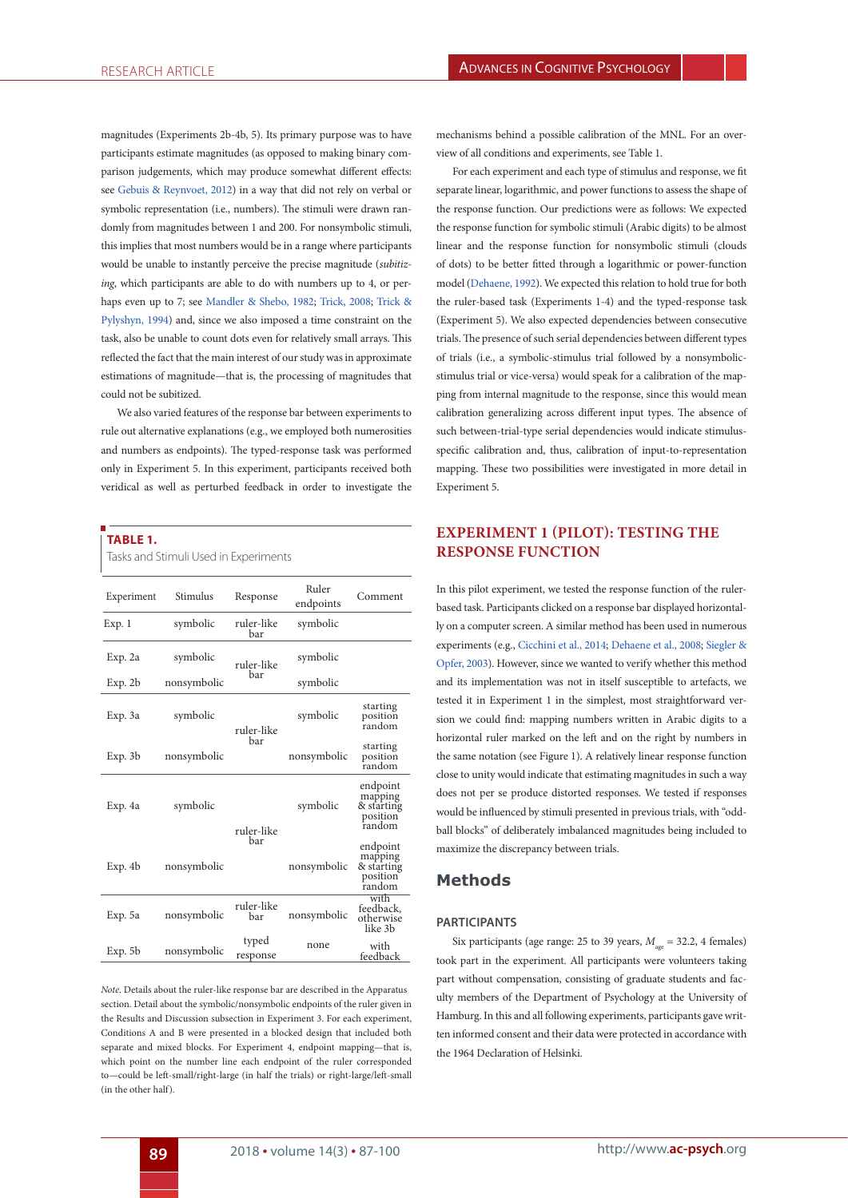magnitudes (Experiments 2b-4b, 5). Its primary purpose was to have participants estimate magnitudes (as opposed to making binary comparison judgements, which may produce somewhat different effects: see Gebuis & Reynvoet, 2012) in a way that did not rely on verbal or symbolic representation (i.e., numbers). The stimuli were drawn randomly from magnitudes between 1 and 200. For nonsymbolic stimuli, this implies that most numbers would be in a range where participants would be unable to instantly perceive the precise magnitude (*subitizing*, which participants are able to do with numbers up to 4, or perhaps even up to 7; see Mandler & Shebo, 1982; Trick, 2008; Trick & Pylyshyn, 1994) and, since we also imposed a time constraint on the task, also be unable to count dots even for relatively small arrays. This reflected the fact that the main interest of our study was in approximate estimations of magnitude—that is, the processing of magnitudes that could not be subitized.

We also varied features of the response bar between experiments to rule out alternative explanations (e.g., we employed both numerosities and numbers as endpoints). The typed-response task was performed only in Experiment 5. In this experiment, participants received both veridical as well as perturbed feedback in order to investigate the

#### **TABLE 1.**

Tasks and Stimuli Used in Experiments

| Experiment | Stimulus    | Response          | Ruler<br>endpoints | Comment                                                 |
|------------|-------------|-------------------|--------------------|---------------------------------------------------------|
| Exp. 1     | symbolic    | ruler-like<br>bar | symbolic           |                                                         |
| Exp. 2a    | symbolic    | ruler-like        | symbolic           |                                                         |
| Exp. 2b    | nonsymbolic | bar               | symbolic           |                                                         |
| Exp. 3a    | symbolic    | ruler-like        | symbolic           | starting<br>position<br>random                          |
| Exp. 3b    | nonsymbolic | bar               | nonsymbolic        | starting<br>position<br>random                          |
| Exp. 4a    | symbolic    | ruler-like        | symbolic           | endpoint<br>mapping<br>& starting<br>position<br>random |
| Exp. 4b    | nonsymbolic | bar               | nonsymbolic        | endpoint<br>mapping<br>& starting<br>position<br>random |
| Exp. 5a    | nonsymbolic | ruler-like<br>bar | nonsymbolic        | with<br>feedback.<br>otherwise<br>like 3b               |
| Exp. 5b    | nonsymbolic | typed<br>response | none               | with<br>feedback                                        |

*Note*. Details about the ruler-like response bar are described in the Apparatus section. Detail about the symbolic/nonsymbolic endpoints of the ruler given in the Results and Discussion subsection in Experiment 3. For each experiment, Conditions A and B were presented in a blocked design that included both separate and mixed blocks. For Experiment 4, endpoint mapping—that is, which point on the number line each endpoint of the ruler corresponded to—could be left-small/right-large (in half the trials) or right-large/left-small (in the other half).

mechanisms behind a possible calibration of the MNL. For an overview of all conditions and experiments, see Table 1.

For each experiment and each type of stimulus and response, we fit separate linear, logarithmic, and power functions to assess the shape of the response function. Our predictions were as follows: We expected the response function for symbolic stimuli (Arabic digits) to be almost linear and the response function for nonsymbolic stimuli (clouds of dots) to be better fitted through a logarithmic or power-function model (Dehaene, 1992). We expected this relation to hold true for both the ruler-based task (Experiments 1-4) and the typed-response task (Experiment 5). We also expected dependencies between consecutive trials. The presence of such serial dependencies between different types of trials (i.e., a symbolic-stimulus trial followed by a nonsymbolicstimulus trial or vice-versa) would speak for a calibration of the mapping from internal magnitude to the response, since this would mean calibration generalizing across different input types. The absence of such between-trial-type serial dependencies would indicate stimulusspecific calibration and, thus, calibration of input-to-representation mapping. These two possibilities were investigated in more detail in Experiment 5.

# **EXPERIMENT 1 (PILOT): TESTING THE RESPONSE FUNCTION**

In this pilot experiment, we tested the response function of the rulerbased task. Participants clicked on a response bar displayed horizontally on a computer screen. A similar method has been used in numerous experiments (e.g., Cicchini et al., 2014; Dehaene et al., 2008; Siegler & Opfer, 2003). However, since we wanted to verify whether this method and its implementation was not in itself susceptible to artefacts, we tested it in Experiment 1 in the simplest, most straightforward version we could find: mapping numbers written in Arabic digits to a horizontal ruler marked on the left and on the right by numbers in the same notation (see Figure 1). A relatively linear response function close to unity would indicate that estimating magnitudes in such a way does not per se produce distorted responses. We tested if responses would be influenced by stimuli presented in previous trials, with "oddball blocks" of deliberately imbalanced magnitudes being included to maximize the discrepancy between trials.

# **Methods**

#### **PARTICIPANTS**

Six participants (age range: 25 to 39 years,  $M_{\text{gas}} = 32.2$ , 4 females) took part in the experiment. All participants were volunteers taking part without compensation, consisting of graduate students and faculty members of the Department of Psychology at the University of Hamburg. In this and all following experiments, participants gave written informed consent and their data were protected in accordance with the 1964 Declaration of Helsinki.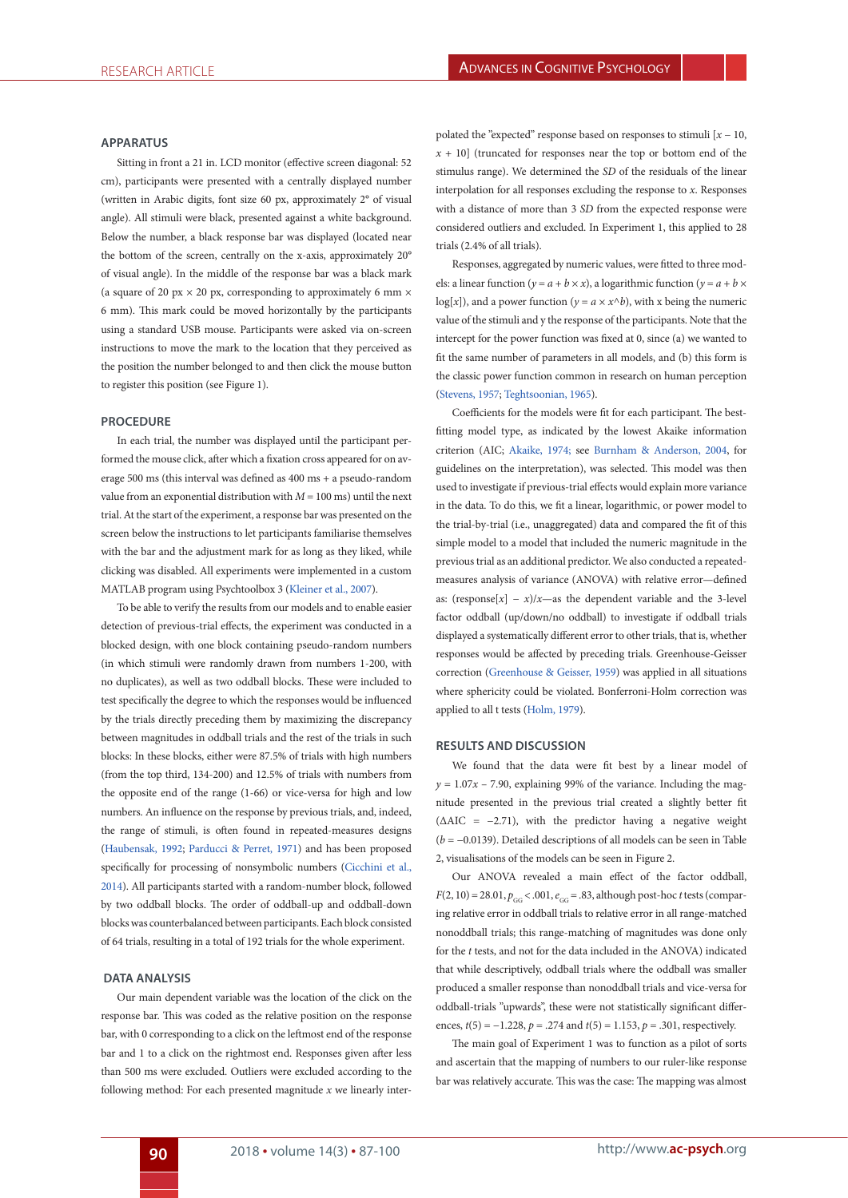#### **APPARATUS**

Sitting in front a 21 in. LCD monitor (effective screen diagonal: 52 cm), participants were presented with a centrally displayed number (written in Arabic digits, font size 60 px, approximately 2° of visual angle). All stimuli were black, presented against a white background. Below the number, a black response bar was displayed (located near the bottom of the screen, centrally on the x-axis, approximately 20° of visual angle). In the middle of the response bar was a black mark (a square of 20 px  $\times$  20 px, corresponding to approximately 6 mm  $\times$ 6 mm). This mark could be moved horizontally by the participants using a standard USB mouse. Participants were asked via on-screen instructions to move the mark to the location that they perceived as the position the number belonged to and then click the mouse button to register this position (see Figure 1).

#### **PROCEDURE**

In each trial, the number was displayed until the participant performed the mouse click, after which a fixation cross appeared for on average 500 ms (this interval was defined as 400 ms + a pseudo-random value from an exponential distribution with *M* = 100 ms) until the next trial. At the start of the experiment, a response bar was presented on the screen below the instructions to let participants familiarise themselves with the bar and the adjustment mark for as long as they liked, while clicking was disabled. All experiments were implemented in a custom MATLAB program using Psychtoolbox 3 (Kleiner et al., 2007).

To be able to verify the results from our models and to enable easier detection of previous-trial effects, the experiment was conducted in a blocked design, with one block containing pseudo-random numbers (in which stimuli were randomly drawn from numbers 1-200, with no duplicates), as well as two oddball blocks. These were included to test specifically the degree to which the responses would be influenced by the trials directly preceding them by maximizing the discrepancy between magnitudes in oddball trials and the rest of the trials in such blocks: In these blocks, either were 87.5% of trials with high numbers (from the top third, 134-200) and 12.5% of trials with numbers from the opposite end of the range (1-66) or vice-versa for high and low numbers. An influence on the response by previous trials, and, indeed, the range of stimuli, is often found in repeated-measures designs (Haubensak, 1992; Parducci & Perret, 1971) and has been proposed specifically for processing of nonsymbolic numbers (Cicchini et al., 2014). All participants started with a random-number block, followed by two oddball blocks. The order of oddball-up and oddball-down blocks was counterbalanced between participants. Each block consisted of 64 trials, resulting in a total of 192 trials for the whole experiment.

#### **DATA ANALYSIS**

Our main dependent variable was the location of the click on the response bar. This was coded as the relative position on the response bar, with 0 corresponding to a click on the leftmost end of the response bar and 1 to a click on the rightmost end. Responses given after less than 500 ms were excluded. Outliers were excluded according to the following method: For each presented magnitude *x* we linearly interpolated the "expected" response based on responses to stimuli [*x* − 10, *x* + 10] (truncated for responses near the top or bottom end of the stimulus range). We determined the *SD* of the residuals of the linear interpolation for all responses excluding the response to *x*. Responses with a distance of more than 3 *SD* from the expected response were considered outliers and excluded. In Experiment 1, this applied to 28 trials (2.4% of all trials).

Responses, aggregated by numeric values, were fitted to three models: a linear function ( $y = a + b \times x$ ), a logarithmic function ( $y = a + b \times x$ ) log[x]), and a power function ( $y = a \times x^b$ ), with x being the numeric value of the stimuli and y the response of the participants. Note that the intercept for the power function was fixed at 0, since (a) we wanted to fit the same number of parameters in all models, and (b) this form is the classic power function common in research on human perception (Stevens, 1957; Teghtsoonian, 1965).

Coefficients for the models were fit for each participant. The bestfitting model type, as indicated by the lowest Akaike information criterion (AIC; Akaike, 1974; see Burnham & Anderson, 2004, for guidelines on the interpretation), was selected. This model was then used to investigate if previous-trial effects would explain more variance in the data. To do this, we fit a linear, logarithmic, or power model to the trial-by-trial (i.e., unaggregated) data and compared the fit of this simple model to a model that included the numeric magnitude in the previous trial as an additional predictor. We also conducted a repeatedmeasures analysis of variance (ANOVA) with relative error—defined as: (response[ $x$ ] –  $x$ )/ $x$ —as the dependent variable and the 3-level factor oddball (up/down/no oddball) to investigate if oddball trials displayed a systematically different error to other trials, that is, whether responses would be affected by preceding trials. Greenhouse-Geisser correction (Greenhouse & Geisser, 1959) was applied in all situations where sphericity could be violated. Bonferroni-Holm correction was applied to all t tests (Holm, 1979).

#### **RESULTS AND DISCUSSION**

We found that the data were fit best by a linear model of  $y = 1.07x - 7.90$ , explaining 99% of the variance. Including the magnitude presented in the previous trial created a slightly better fit  $( \triangle AIC = -2.71)$ , with the predictor having a negative weight (*b* = −0.0139). Detailed descriptions of all models can be seen in Table 2, visualisations of the models can be seen in Figure 2.

Our ANOVA revealed a main effect of the factor oddball,  $F(2, 10) = 28.01, p_{GG} < .001, e_{GG} = .83$ , although post-hoc *t* tests (comparing relative error in oddball trials to relative error in all range-matched nonoddball trials; this range-matching of magnitudes was done only for the *t* tests, and not for the data included in the ANOVA) indicated that while descriptively, oddball trials where the oddball was smaller produced a smaller response than nonoddball trials and vice-versa for oddball-trials "upwards", these were not statistically significant differences, *t*(5) = −1.228, *p* = .274 and *t*(5) = 1.153, *p* = .301, respectively.

The main goal of Experiment 1 was to function as a pilot of sorts and ascertain that the mapping of numbers to our ruler-like response bar was relatively accurate. This was the case: The mapping was almost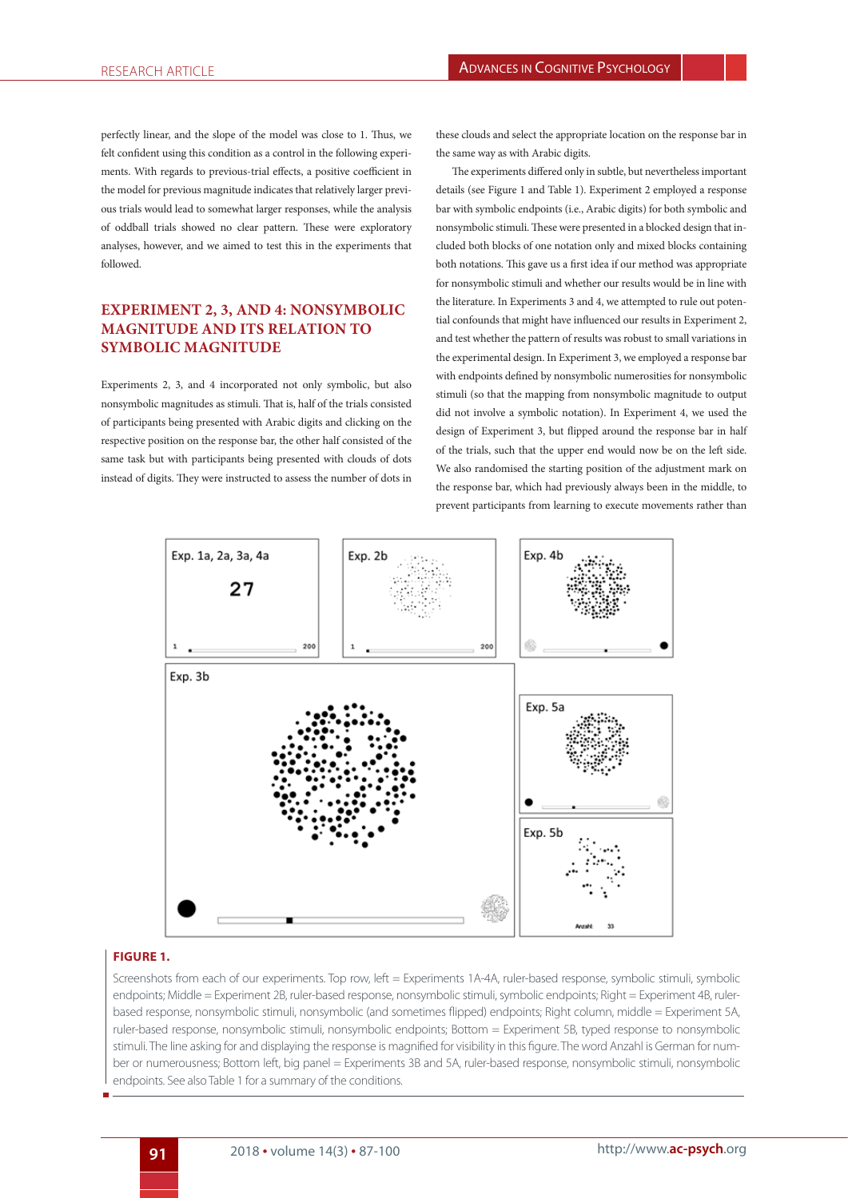perfectly linear, and the slope of the model was close to 1. Thus, we felt confident using this condition as a control in the following experiments. With regards to previous-trial effects, a positive coefficient in the model for previous magnitude indicates that relatively larger previous trials would lead to somewhat larger responses, while the analysis of oddball trials showed no clear pattern. These were exploratory analyses, however, and we aimed to test this in the experiments that followed.

# **EXPERIMENT 2, 3, AND 4: NONSYMBOLIC MAGNITUDE AND ITS RELATION TO SYMBOLIC MAGNITUDE**

Experiments 2, 3, and 4 incorporated not only symbolic, but also nonsymbolic magnitudes as stimuli. That is, half of the trials consisted of participants being presented with Arabic digits and clicking on the respective position on the response bar, the other half consisted of the same task but with participants being presented with clouds of dots instead of digits. They were instructed to assess the number of dots in

these clouds and select the appropriate location on the response bar in the same way as with Arabic digits.

The experiments differed only in subtle, but nevertheless important details (see Figure 1 and Table 1). Experiment 2 employed a response bar with symbolic endpoints (i.e., Arabic digits) for both symbolic and nonsymbolic stimuli. These were presented in a blocked design that included both blocks of one notation only and mixed blocks containing both notations. This gave us a first idea if our method was appropriate for nonsymbolic stimuli and whether our results would be in line with the literature. In Experiments 3 and 4, we attempted to rule out potential confounds that might have influenced our results in Experiment 2, and test whether the pattern of results was robust to small variations in the experimental design. In Experiment 3, we employed a response bar with endpoints defined by nonsymbolic numerosities for nonsymbolic stimuli (so that the mapping from nonsymbolic magnitude to output did not involve a symbolic notation). In Experiment 4, we used the design of Experiment 3, but flipped around the response bar in half of the trials, such that the upper end would now be on the left side. We also randomised the starting position of the adjustment mark on the response bar, which had previously always been in the middle, to prevent participants from learning to execute movements rather than



## **FIGURE 1.**

Screenshots from each of our experiments. Top row, left = Experiments 1A-4A, ruler-based response, symbolic stimuli, symbolic endpoints; Middle = Experiment 2B, ruler-based response, nonsymbolic stimuli, symbolic endpoints; Right = Experiment 4B, rulerbased response, nonsymbolic stimuli, nonsymbolic (and sometimes flipped) endpoints; Right column, middle = Experiment 5A, ruler-based response, nonsymbolic stimuli, nonsymbolic endpoints; Bottom = Experiment 5B, typed response to nonsymbolic stimuli. The line asking for and displaying the response is magnified for visibility in this figure. The word Anzahl is German for number or numerousness; Bottom left, big panel = Experiments 3B and 5A, ruler-based response, nonsymbolic stimuli, nonsymbolic endpoints. See also Table 1 for a summary of the conditions.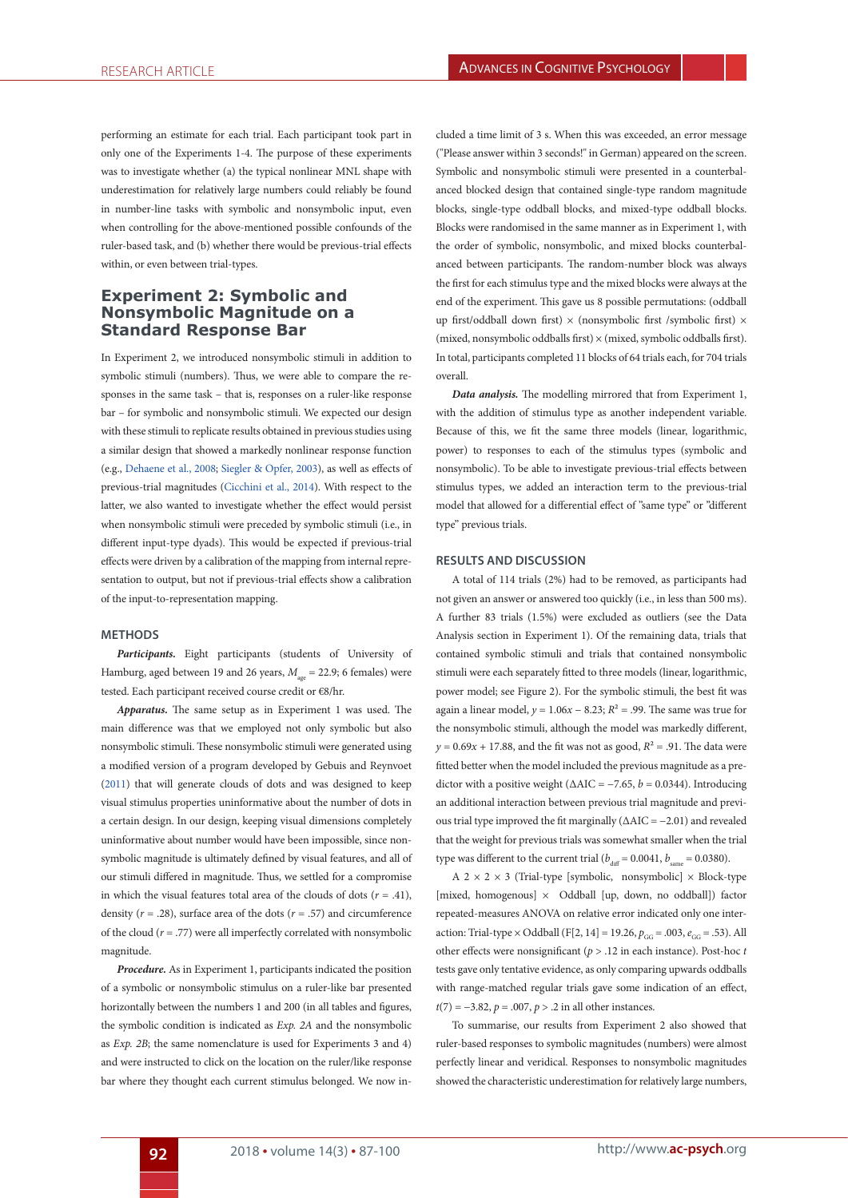performing an estimate for each trial. Each participant took part in only one of the Experiments 1-4. The purpose of these experiments was to investigate whether (a) the typical nonlinear MNL shape with underestimation for relatively large numbers could reliably be found in number-line tasks with symbolic and nonsymbolic input, even when controlling for the above-mentioned possible confounds of the ruler-based task, and (b) whether there would be previous-trial effects within, or even between trial-types.

# **Experiment 2: Symbolic and Nonsymbolic Magnitude on a Standard Response Bar**

In Experiment 2, we introduced nonsymbolic stimuli in addition to symbolic stimuli (numbers). Thus, we were able to compare the responses in the same task – that is, responses on a ruler-like response bar – for symbolic and nonsymbolic stimuli. We expected our design with these stimuli to replicate results obtained in previous studies using a similar design that showed a markedly nonlinear response function (e.g., Dehaene et al., 2008; Siegler & Opfer, 2003), as well as effects of previous-trial magnitudes (Cicchini et al., 2014). With respect to the latter, we also wanted to investigate whether the effect would persist when nonsymbolic stimuli were preceded by symbolic stimuli (i.e., in different input-type dyads). This would be expected if previous-trial effects were driven by a calibration of the mapping from internal representation to output, but not if previous-trial effects show a calibration of the input-to-representation mapping.

#### **METHODS**

*Participants.* Eight participants (students of University of Hamburg, aged between 19 and 26 years,  $M_{\text{gas}} = 22.9$ ; 6 females) were tested. Each participant received course credit or €8/hr.

*Apparatus.* The same setup as in Experiment 1 was used. The main difference was that we employed not only symbolic but also nonsymbolic stimuli. These nonsymbolic stimuli were generated using a modified version of a program developed by Gebuis and Reynvoet (2011) that will generate clouds of dots and was designed to keep visual stimulus properties uninformative about the number of dots in a certain design. In our design, keeping visual dimensions completely uninformative about number would have been impossible, since nonsymbolic magnitude is ultimately defined by visual features, and all of our stimuli differed in magnitude. Thus, we settled for a compromise in which the visual features total area of the clouds of dots  $(r = .41)$ , density ( $r = .28$ ), surface area of the dots ( $r = .57$ ) and circumference of the cloud (*r* = .77) were all imperfectly correlated with nonsymbolic magnitude.

*Procedure.* As in Experiment 1, participants indicated the position of a symbolic or nonsymbolic stimulus on a ruler-like bar presented horizontally between the numbers 1 and 200 (in all tables and figures, the symbolic condition is indicated as *Exp. 2A* and the nonsymbolic as *Exp. 2B*; the same nomenclature is used for Experiments 3 and 4) and were instructed to click on the location on the ruler/like response bar where they thought each current stimulus belonged. We now included a time limit of 3 s. When this was exceeded, an error message ("Please answer within 3 seconds!" in German) appeared on the screen. Symbolic and nonsymbolic stimuli were presented in a counterbalanced blocked design that contained single-type random magnitude blocks, single-type oddball blocks, and mixed-type oddball blocks. Blocks were randomised in the same manner as in Experiment 1, with the order of symbolic, nonsymbolic, and mixed blocks counterbalanced between participants. The random-number block was always the first for each stimulus type and the mixed blocks were always at the end of the experiment. This gave us 8 possible permutations: (oddball up first/oddball down first) × (nonsymbolic first /symbolic first) × (mixed, nonsymbolic oddballs first)  $\times$  (mixed, symbolic oddballs first). In total, participants completed 11 blocks of 64 trials each, for 704 trials overall.

*Data analysis.* The modelling mirrored that from Experiment 1, with the addition of stimulus type as another independent variable. Because of this, we fit the same three models (linear, logarithmic, power) to responses to each of the stimulus types (symbolic and nonsymbolic). To be able to investigate previous-trial effects between stimulus types, we added an interaction term to the previous-trial model that allowed for a differential effect of "same type" or "different type" previous trials.

### **RESULTS AND DISCUSSION**

A total of 114 trials (2%) had to be removed, as participants had not given an answer or answered too quickly (i.e., in less than 500 ms). A further 83 trials (1.5%) were excluded as outliers (see the Data Analysis section in Experiment 1). Of the remaining data, trials that contained symbolic stimuli and trials that contained nonsymbolic stimuli were each separately fitted to three models (linear, logarithmic, power model; see Figure 2). For the symbolic stimuli, the best fit was again a linear model,  $y = 1.06x - 8.23$ ;  $R^2 = .99$ . The same was true for the nonsymbolic stimuli, although the model was markedly different,  $y = 0.69x + 17.88$ , and the fit was not as good,  $R^2 = .91$ . The data were fitted better when the model included the previous magnitude as a predictor with a positive weight ( $\triangle AIC = -7.65$ ,  $b = 0.0344$ ). Introducing an additional interaction between previous trial magnitude and previous trial type improved the fit marginally ( $\triangle AIC = -2.01$ ) and revealed that the weight for previous trials was somewhat smaller when the trial type was different to the current trial ( $b_{\text{max}} = 0.0041$ ,  $b_{\text{max}} = 0.0380$ ).

A  $2 \times 2 \times 3$  (Trial-type [symbolic, nonsymbolic]  $\times$  Block-type [mixed, homogenous]  $\times$  Oddball [up, down, no oddball]) factor repeated-measures ANOVA on relative error indicated only one interaction: Trial-type × Oddball (F[2, 14] = 19.26,  $p_{GG} = .003$ ,  $e_{GG} = .53$ ). All other effects were nonsignificant (*p* > .12 in each instance). Post-hoc *t*  tests gave only tentative evidence, as only comparing upwards oddballs with range-matched regular trials gave some indication of an effect, *t*(7) = −3.82, *p* = .007, *p* > .2 in all other instances.

To summarise, our results from Experiment 2 also showed that ruler-based responses to symbolic magnitudes (numbers) were almost perfectly linear and veridical. Responses to nonsymbolic magnitudes showed the characteristic underestimation for relatively large numbers,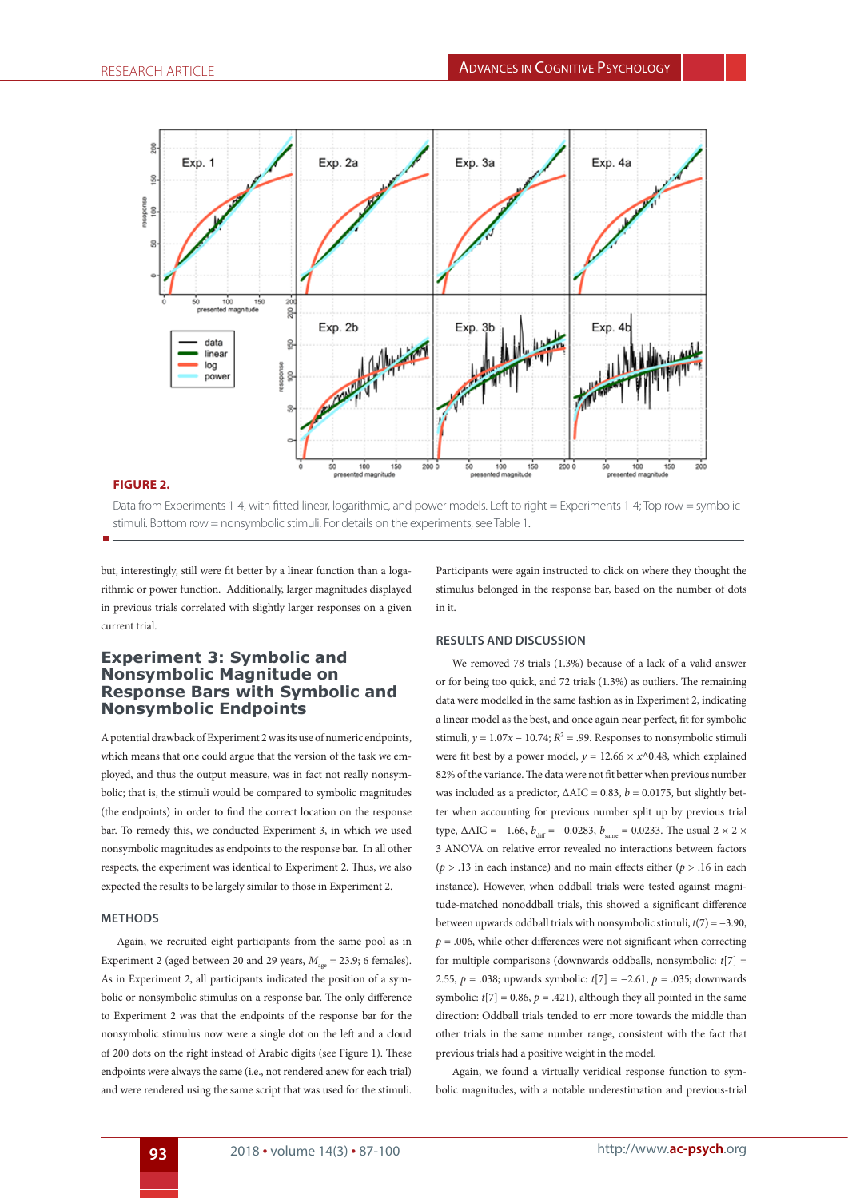

## **FIGURE 2.**

Data from Experiments 1-4, with fitted linear, logarithmic, and power models. Left to right = Experiments 1-4; Top row = symbolic stimuli. Bottom row = nonsymbolic stimuli. For details on the experiments, see Table 1.

but, interestingly, still were fit better by a linear function than a logarithmic or power function. Additionally, larger magnitudes displayed in previous trials correlated with slightly larger responses on a given current trial.

## **Experiment 3: Symbolic and Nonsymbolic Magnitude on Response Bars with Symbolic and Nonsymbolic Endpoints**

A potential drawback of Experiment 2 was its use of numeric endpoints, which means that one could argue that the version of the task we employed, and thus the output measure, was in fact not really nonsymbolic; that is, the stimuli would be compared to symbolic magnitudes (the endpoints) in order to find the correct location on the response bar. To remedy this, we conducted Experiment 3, in which we used nonsymbolic magnitudes as endpoints to the response bar. In all other respects, the experiment was identical to Experiment 2. Thus, we also expected the results to be largely similar to those in Experiment 2.

### **METHODS**

Again, we recruited eight participants from the same pool as in Experiment 2 (aged between 20 and 29 years,  $M_{\text{gas}} = 23.9$ ; 6 females). As in Experiment 2, all participants indicated the position of a symbolic or nonsymbolic stimulus on a response bar. The only difference to Experiment 2 was that the endpoints of the response bar for the nonsymbolic stimulus now were a single dot on the left and a cloud of 200 dots on the right instead of Arabic digits (see Figure 1). These endpoints were always the same (i.e., not rendered anew for each trial) and were rendered using the same script that was used for the stimuli.

Participants were again instructed to click on where they thought the stimulus belonged in the response bar, based on the number of dots in it.

## **RESULTS AND DISCUSSION**

We removed 78 trials (1.3%) because of a lack of a valid answer or for being too quick, and 72 trials (1.3%) as outliers. The remaining data were modelled in the same fashion as in Experiment 2, indicating a linear model as the best, and once again near perfect, fit for symbolic stimuli,  $y = 1.07x - 10.74$ ;  $R^2 = .99$ . Responses to nonsymbolic stimuli were fit best by a power model,  $y = 12.66 \times x^0.48$ , which explained 82% of the variance. The data were not fit better when previous number was included as a predictor,  $\triangle AIC = 0.83$ ,  $b = 0.0175$ , but slightly better when accounting for previous number split up by previous trial type,  $\triangle AIC = -1.66$ ,  $b_{\text{diff}} = -0.0283$ ,  $b_{\text{same}} = 0.0233$ . The usual 2 × 2 × 3 ANOVA on relative error revealed no interactions between factors  $(p > .13$  in each instance) and no main effects either  $(p > .16$  in each instance). However, when oddball trials were tested against magnitude-matched nonoddball trials, this showed a significant difference between upwards oddball trials with nonsymbolic stimuli, *t*(7) = −3.90,  $p = .006$ , while other differences were not significant when correcting for multiple comparisons (downwards oddballs, nonsymbolic: *t*[7] = 2.55, *p* = .038; upwards symbolic: *t*[7] = −2.61, *p* = .035; downwards symbolic:  $t[7] = 0.86$ ,  $p = .421$ ), although they all pointed in the same direction: Oddball trials tended to err more towards the middle than other trials in the same number range, consistent with the fact that previous trials had a positive weight in the model.

Again, we found a virtually veridical response function to symbolic magnitudes, with a notable underestimation and previous-trial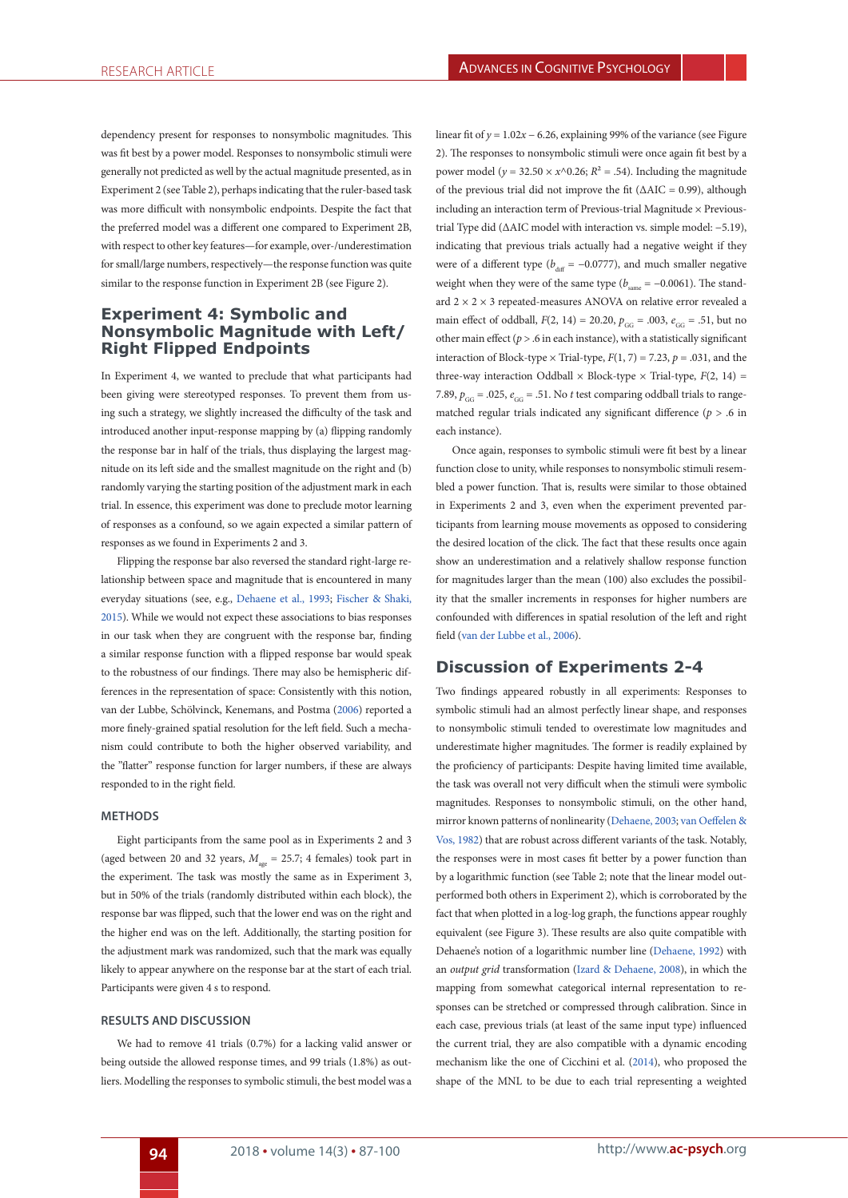dependency present for responses to nonsymbolic magnitudes. This was fit best by a power model. Responses to nonsymbolic stimuli were generally not predicted as well by the actual magnitude presented, as in Experiment 2 (see Table 2), perhaps indicating that the ruler-based task was more difficult with nonsymbolic endpoints. Despite the fact that the preferred model was a different one compared to Experiment 2B, with respect to other key features—for example, over-/underestimation for small/large numbers, respectively—the response function was quite similar to the response function in Experiment 2B (see Figure 2).

# **Experiment 4: Symbolic and Nonsymbolic Magnitude with Left/ Right Flipped Endpoints**

In Experiment 4, we wanted to preclude that what participants had been giving were stereotyped responses. To prevent them from using such a strategy, we slightly increased the difficulty of the task and introduced another input-response mapping by (a) flipping randomly the response bar in half of the trials, thus displaying the largest magnitude on its left side and the smallest magnitude on the right and (b) randomly varying the starting position of the adjustment mark in each trial. In essence, this experiment was done to preclude motor learning of responses as a confound, so we again expected a similar pattern of responses as we found in Experiments 2 and 3.

Flipping the response bar also reversed the standard right-large relationship between space and magnitude that is encountered in many everyday situations (see, e.g., Dehaene et al., 1993; Fischer & Shaki, 2015). While we would not expect these associations to bias responses in our task when they are congruent with the response bar, finding a similar response function with a flipped response bar would speak to the robustness of our findings. There may also be hemispheric differences in the representation of space: Consistently with this notion, van der Lubbe, Schölvinck, Kenemans, and Postma (2006) reported a more finely-grained spatial resolution for the left field. Such a mechanism could contribute to both the higher observed variability, and the "flatter" response function for larger numbers, if these are always responded to in the right field.

## **METHODS**

Eight participants from the same pool as in Experiments 2 and 3 (aged between 20 and 32 years,  $M_{\text{age}} = 25.7$ ; 4 females) took part in the experiment. The task was mostly the same as in Experiment 3, but in 50% of the trials (randomly distributed within each block), the response bar was flipped, such that the lower end was on the right and the higher end was on the left. Additionally, the starting position for the adjustment mark was randomized, such that the mark was equally likely to appear anywhere on the response bar at the start of each trial. Participants were given 4 s to respond.

### **RESULTS AND DISCUSSION**

We had to remove 41 trials (0.7%) for a lacking valid answer or being outside the allowed response times, and 99 trials (1.8%) as outliers. Modelling the responses to symbolic stimuli, the best model was a

linear fit of  $y = 1.02x - 6.26$ , explaining 99% of the variance (see Figure 2). The responses to nonsymbolic stimuli were once again fit best by a power model ( $y = 32.50 \times x \land 0.26$ ;  $R^2 = .54$ ). Including the magnitude of the previous trial did not improve the fit ( $\triangle AIC = 0.99$ ), although including an interaction term of Previous-trial Magnitude × Previoustrial Type did (ΔAIC model with interaction vs. simple model: −5.19), indicating that previous trials actually had a negative weight if they were of a different type ( $b_{\text{diff}}$  = −0.0777), and much smaller negative weight when they were of the same type ( $b_{\text{max}} = -0.0061$ ). The standard  $2 \times 2 \times 3$  repeated-measures ANOVA on relative error revealed a main effect of oddball,  $F(2, 14) = 20.20$ ,  $p_{GG} = .003$ ,  $e_{GG} = .51$ , but no other main effect ( $p > 0.6$  in each instance), with a statistically significant interaction of Block-type  $\times$  Trial-type,  $F(1, 7) = 7.23$ ,  $p = .031$ , and the three-way interaction Oddball  $\times$  Block-type  $\times$  Trial-type,  $F(2, 14) =$ 7.89,  $p_{cc} = .025$ ,  $e_{cc} = .51$ . No *t* test comparing oddball trials to rangematched regular trials indicated any significant difference (*p* > .6 in each instance).

Once again, responses to symbolic stimuli were fit best by a linear function close to unity, while responses to nonsymbolic stimuli resembled a power function. That is, results were similar to those obtained in Experiments 2 and 3, even when the experiment prevented participants from learning mouse movements as opposed to considering the desired location of the click. The fact that these results once again show an underestimation and a relatively shallow response function for magnitudes larger than the mean (100) also excludes the possibility that the smaller increments in responses for higher numbers are confounded with differences in spatial resolution of the left and right field (van der Lubbe et al., 2006).

## **Discussion of Experiments 2-4**

Two findings appeared robustly in all experiments: Responses to symbolic stimuli had an almost perfectly linear shape, and responses to nonsymbolic stimuli tended to overestimate low magnitudes and underestimate higher magnitudes. The former is readily explained by the proficiency of participants: Despite having limited time available, the task was overall not very difficult when the stimuli were symbolic magnitudes. Responses to nonsymbolic stimuli, on the other hand, mirror known patterns of nonlinearity (Dehaene, 2003; van Oeffelen & Vos, 1982) that are robust across different variants of the task. Notably, the responses were in most cases fit better by a power function than by a logarithmic function (see Table 2; note that the linear model outperformed both others in Experiment 2), which is corroborated by the fact that when plotted in a log-log graph, the functions appear roughly equivalent (see Figure 3). These results are also quite compatible with Dehaene's notion of a logarithmic number line (Dehaene, 1992) with an *output grid* transformation (Izard & Dehaene, 2008), in which the mapping from somewhat categorical internal representation to responses can be stretched or compressed through calibration. Since in each case, previous trials (at least of the same input type) influenced the current trial, they are also compatible with a dynamic encoding mechanism like the one of Cicchini et al. (2014), who proposed the shape of the MNL to be due to each trial representing a weighted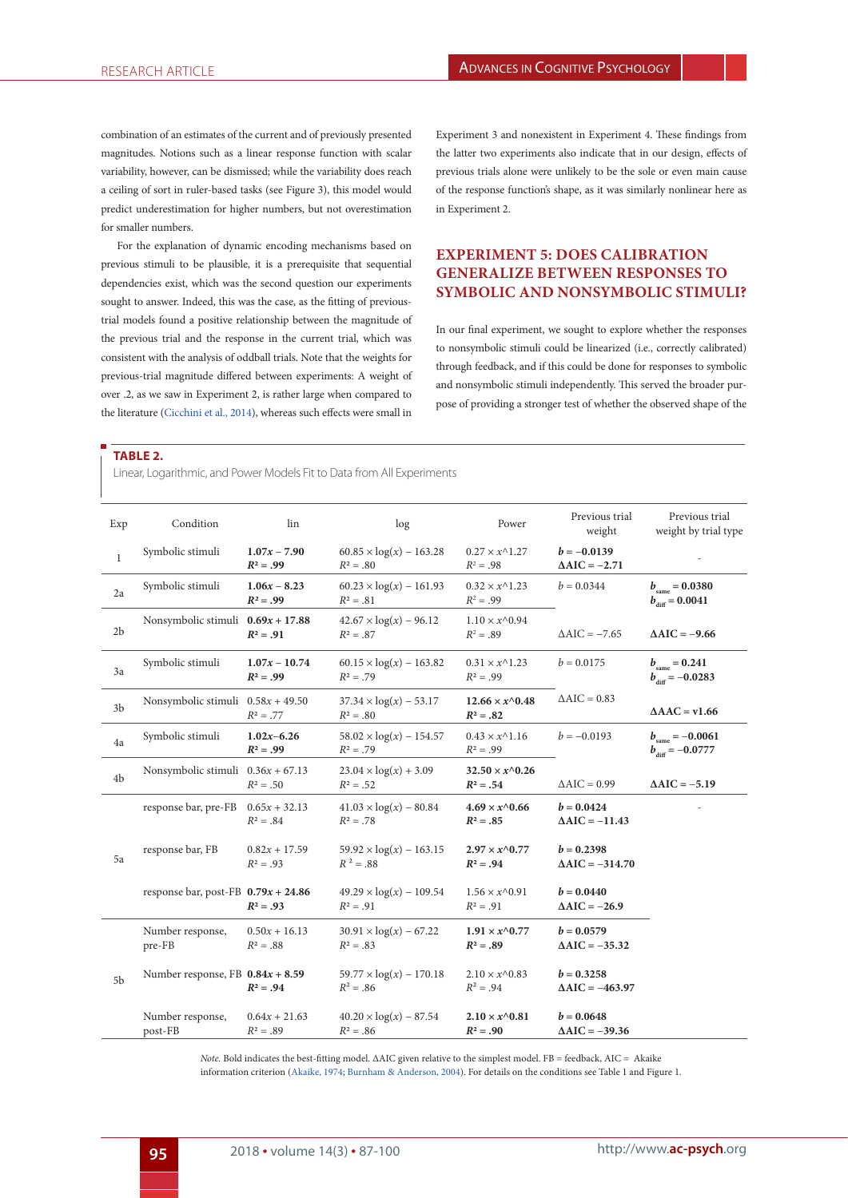combination of an estimates of the current and of previously presented magnitudes. Notions such as a linear response function with scalar variability, however, can be dismissed; while the variability does reach a ceiling of sort in ruler-based tasks (see Figure 3), this model would predict underestimation for higher numbers, but not overestimation for smaller numbers.

For the explanation of dynamic encoding mechanisms based on previous stimuli to be plausible, it is a prerequisite that sequential dependencies exist, which was the second question our experiments sought to answer. Indeed, this was the case, as the fitting of previoustrial models found a positive relationship between the magnitude of the previous trial and the response in the current trial, which was consistent with the analysis of oddball trials. Note that the weights for previous-trial magnitude differed between experiments: A weight of over .2, as we saw in Experiment 2, is rather large when compared to the literature (Cicchini et al., 2014), whereas such effects were small in

Experiment 3 and nonexistent in Experiment 4. These findings from the latter two experiments also indicate that in our design, effects of previous trials alone were unlikely to be the sole or even main cause of the response function's shape, as it was similarly nonlinear here as in Experiment 2.

# **EXPERIMENT 5: DOES CALIBRATION GENERALIZE BETWEEN RESPONSES TO SYMBOLIC AND NONSYMBOLIC STIMULI?**

In our final experiment, we sought to explore whether the responses to nonsymbolic stimuli could be linearized (i.e., correctly calibrated) through feedback, and if this could be done for responses to symbolic and nonsymbolic stimuli independently. This served the broader purpose of providing a stronger test of whether the observed shape of the

#### **TABLE 2.**

Linear, Logarithmic, and Power Models Fit to Data from All Experiments

| Exp            | Condition                             | lin                            | log                                            | Power                                       | Previous trial<br>weight                  | Previous trial<br>weight by trial type                     |
|----------------|---------------------------------------|--------------------------------|------------------------------------------------|---------------------------------------------|-------------------------------------------|------------------------------------------------------------|
| 1              | Symbolic stimuli                      | $1.07x - 7.90$<br>$R^2 = .99$  | $60.85 \times \log(x) - 163.28$<br>$R^2 = .80$ | $0.27 \times x^{\wedge}1.27$<br>$R^2 = .98$ | $b = -0.0139$<br>$\triangle AIC = -2.71$  |                                                            |
| 2a             | Symbolic stimuli                      | $1.06x - 8.23$<br>$R^2 = .99$  | $60.23 \times \log(x) - 161.93$<br>$R^2 = .81$ | $0.32 \times x^{\wedge}1.23$<br>$R^2 = .99$ | $b = 0.0344$                              | $b_{\rm same} = 0.0380$<br>$b_{\text{diff}} = 0.0041$      |
| 2 <sub>b</sub> | Nonsymbolic stimuli $0.69x + 17.88$   | $R^2 = .91$                    | $42.67 \times \log(x) - 96.12$<br>$R^2 = .87$  | $1.10 \times x^{\wedge}0.94$<br>$R^2 = .89$ | $\triangle AIC = -7.65$                   | $\Delta AIC = -9.66$                                       |
| 3a             | Symbolic stimuli                      | $1.07x - 10.74$<br>$R^2 = .99$ | $60.15 \times \log(x) - 163.82$<br>$R^2 = .79$ | $0.31 \times x^{\wedge}1.23$<br>$R^2 = .99$ | $b = 0.0175$                              | $b_{\rm same} = 0.241$<br>$b_{\text{diff}} = -0.0283$      |
| 3 <sub>b</sub> | Nonsymbolic stimuli $0.58x + 49.50$   | $R^2 = .77$                    | $37.34 \times \log(x) - 53.17$<br>$R^2 = .80$  | $12.66 \times x^{0}.48$<br>$R^2 = .82$      | $\triangle AIC = 0.83$                    | $\triangle$ AAC = v1.66                                    |
| 4a             | Symbolic stimuli                      | $1.02x - 6.26$<br>$R^2 = .99$  | $58.02 \times \log(x) - 154.57$<br>$R^2 = .79$ | $0.43 \times x^{\wedge}1.16$<br>$R^2 = .99$ | $b = -0.0193$                             | $b_{\text{same}} = -0.0061$<br>$b_{\text{diff}} = -0.0777$ |
| 4b             | Nonsymbolic stimuli $0.36x + 67.13$   | $R^2 = .50$                    | $23.04 \times \log(x) + 3.09$<br>$R^2 = .52$   | $32.50 \times x^{0}.26$<br>$R^2 = .54$      | $\triangle AIC = 0.99$                    | $\Delta AIC = -5.19$                                       |
|                | response bar, pre-FB $0.65x + 32.13$  | $R^2 = .84$                    | $41.03 \times \log(x) - 80.84$<br>$R^2 = .78$  | $4.69 \times x^{0.66}$<br>$R^2 = .85$       | $b = 0.0424$<br>$\triangle AIC = -11.43$  |                                                            |
| 5a             | response bar, FB                      | $0.82x + 17.59$<br>$R^2 = .93$ | $59.92 \times \log(x) - 163.15$<br>$R^2 = .88$ | $2.97 \times x^{0.77}$<br>$R^2 = .94$       | $b = 0.2398$<br>$\triangle AIC = -314.70$ |                                                            |
|                | response bar, post-FB $0.79x + 24.86$ | $R^2 = .93$                    | $49.29 \times \log(x) - 109.54$<br>$R^2 = .91$ | $1.56 \times x^{\wedge}0.91$<br>$R^2 = .91$ | $b = 0.0440$<br>$\triangle AIC = -26.9$   |                                                            |
|                | Number response,<br>pre-FB            | $0.50x + 16.13$<br>$R^2 = .88$ | $30.91 \times \log(x) - 67.22$<br>$R^2 = .83$  | $1.91 \times x^{0.77}$<br>$R^2 = .89$       | $b = 0.0579$<br>$\triangle AIC = -35.32$  |                                                            |
| 5b             | Number response, FB $0.84x + 8.59$    | $R^2 = .94$                    | $59.77 \times \log(x) - 170.18$<br>$R^2 = .86$ | $2.10 \times x^{0.83}$<br>$R^2 = .94$       | $b = 0.3258$<br>$\triangle AIC = -463.97$ |                                                            |
|                | Number response,<br>post-FB           | $0.64x + 21.63$<br>$R^2 = .89$ | $40.20 \times \log(x) - 87.54$<br>$R^2 = .86$  | $2.10 \times x^{0.81}$<br>$R^2 = .90$       | $b = 0.0648$<br>$\triangle AIC = -39.36$  |                                                            |

*Note.* Bold indicates the best-fitting model. ΔAIC given relative to the simplest model. FB = feedback, AIC = Akaike information criterion (Akaike, 1974; Burnham & Anderson, 2004). For details on the conditions see Table 1 and Figure 1.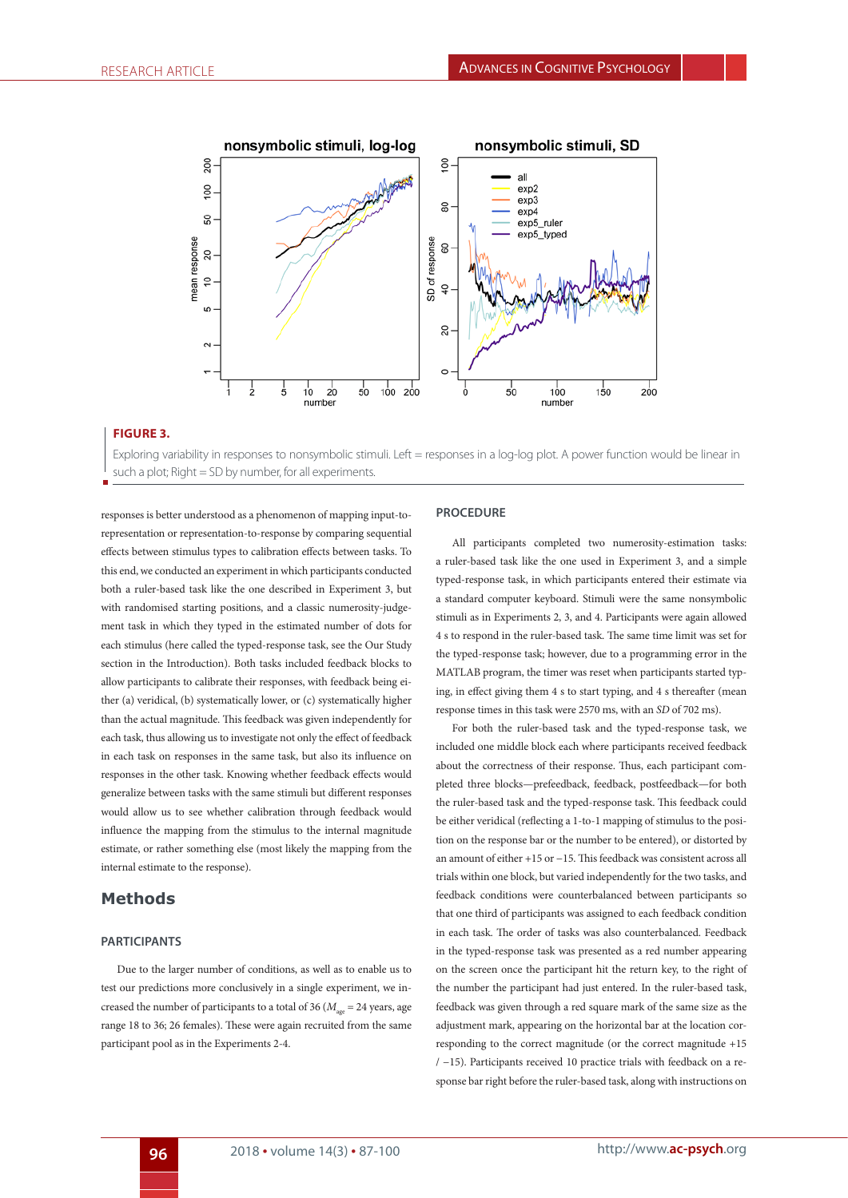

## **FIGURE 3.**

Exploring variability in responses to nonsymbolic stimuli. Left = responses in a log-log plot. A power function would be linear in such a plot; Right = SD by number, for all experiments.

responses is better understood as a phenomenon of mapping input-torepresentation or representation-to-response by comparing sequential effects between stimulus types to calibration effects between tasks. To this end, we conducted an experiment in which participants conducted both a ruler-based task like the one described in Experiment 3, but with randomised starting positions, and a classic numerosity-judgement task in which they typed in the estimated number of dots for each stimulus (here called the typed-response task, see the Our Study section in the Introduction). Both tasks included feedback blocks to allow participants to calibrate their responses, with feedback being either (a) veridical, (b) systematically lower, or (c) systematically higher than the actual magnitude. This feedback was given independently for each task, thus allowing us to investigate not only the effect of feedback in each task on responses in the same task, but also its influence on responses in the other task. Knowing whether feedback effects would generalize between tasks with the same stimuli but different responses would allow us to see whether calibration through feedback would influence the mapping from the stimulus to the internal magnitude estimate, or rather something else (most likely the mapping from the internal estimate to the response).

# **Methods**

### **PARTICIPANTS**

Due to the larger number of conditions, as well as to enable us to test our predictions more conclusively in a single experiment, we increased the number of participants to a total of 36 ( $M_{\text{gas}}$  = 24 years, age range 18 to 36; 26 females). These were again recruited from the same participant pool as in the Experiments 2-4.

## **PROCEDURE**

All participants completed two numerosity-estimation tasks: a ruler-based task like the one used in Experiment 3, and a simple typed-response task, in which participants entered their estimate via a standard computer keyboard. Stimuli were the same nonsymbolic stimuli as in Experiments 2, 3, and 4. Participants were again allowed 4 s to respond in the ruler-based task. The same time limit was set for the typed-response task; however, due to a programming error in the MATLAB program, the timer was reset when participants started typing, in effect giving them 4 s to start typing, and 4 s thereafter (mean response times in this task were 2570 ms, with an *SD* of 702 ms).

For both the ruler-based task and the typed-response task, we included one middle block each where participants received feedback about the correctness of their response. Thus, each participant completed three blocks—prefeedback, feedback, postfeedback—for both the ruler-based task and the typed-response task. This feedback could be either veridical (reflecting a 1-to-1 mapping of stimulus to the position on the response bar or the number to be entered), or distorted by an amount of either +15 or −15. This feedback was consistent across all trials within one block, but varied independently for the two tasks, and feedback conditions were counterbalanced between participants so that one third of participants was assigned to each feedback condition in each task. The order of tasks was also counterbalanced. Feedback in the typed-response task was presented as a red number appearing on the screen once the participant hit the return key, to the right of the number the participant had just entered. In the ruler-based task, feedback was given through a red square mark of the same size as the adjustment mark, appearing on the horizontal bar at the location corresponding to the correct magnitude (or the correct magnitude +15 / −15). Participants received 10 practice trials with feedback on a response bar right before the ruler-based task, along with instructions on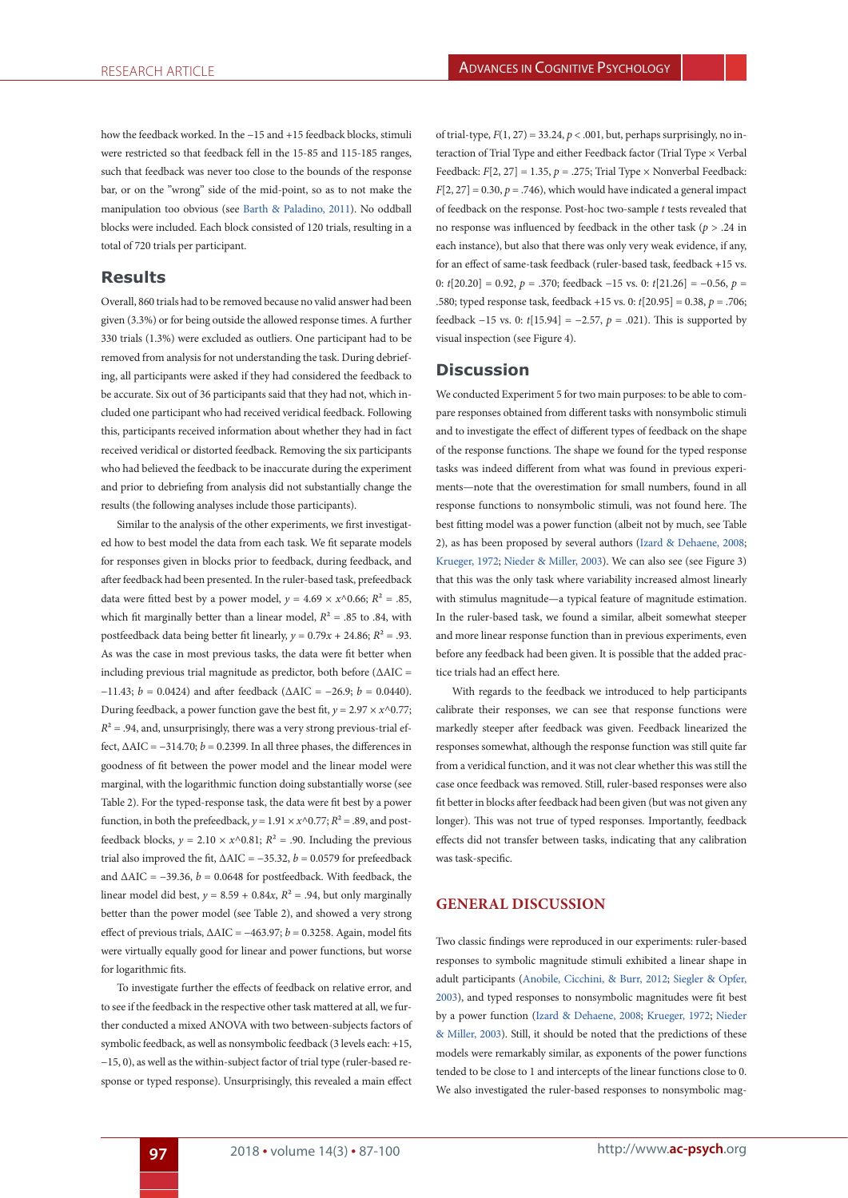how the feedback worked. In the −15 and +15 feedback blocks, stimuli were restricted so that feedback fell in the 15-85 and 115-185 ranges, such that feedback was never too close to the bounds of the response bar, or on the "wrong" side of the mid-point, so as to not make the manipulation too obvious (see Barth & Paladino, 2011). No oddball blocks were included. Each block consisted of 120 trials, resulting in a total of 720 trials per participant.

# **Results**

Overall, 860 trials had to be removed because no valid answer had been given (3.3%) or for being outside the allowed response times. A further 330 trials (1.3%) were excluded as outliers. One participant had to be removed from analysis for not understanding the task. During debriefing, all participants were asked if they had considered the feedback to be accurate. Six out of 36 participants said that they had not, which included one participant who had received veridical feedback. Following this, participants received information about whether they had in fact received veridical or distorted feedback. Removing the six participants who had believed the feedback to be inaccurate during the experiment and prior to debriefing from analysis did not substantially change the results (the following analyses include those participants).

Similar to the analysis of the other experiments, we first investigated how to best model the data from each task. We fit separate models for responses given in blocks prior to feedback, during feedback, and after feedback had been presented. In the ruler-based task, prefeedback data were fitted best by a power model,  $y = 4.69 \times x^0.66$ ;  $R^2 = .85$ , which fit marginally better than a linear model,  $R^2 = .85$  to .84, with postfeedback data being better fit linearly,  $v = 0.79x + 24.86$ ;  $R^2 = .93$ . As was the case in most previous tasks, the data were fit better when including previous trial magnitude as predictor, both before ( $\Delta {\rm AIC}$  = −11.43; *b* = 0.0424) and after feedback (ΔAIC = −26.9; *b* = 0.0440). During feedback, a power function gave the best fit,  $y = 2.97 \times x^{0.77}$ ;  $R<sup>2</sup> = .94$ , and, unsurprisingly, there was a very strong previous-trial effect,  $\triangle AIC = -314.70$ ;  $b = 0.2399$ . In all three phases, the differences in goodness of fit between the power model and the linear model were marginal, with the logarithmic function doing substantially worse (see Table 2). For the typed-response task, the data were fit best by a power function, in both the prefeedback,  $y = 1.91 \times x^{0.77}$ ;  $R^2 = .89$ , and postfeedback blocks,  $y = 2.10 \times x^{\wedge}0.81$ ;  $R^2 = .90$ . Including the previous trial also improved the fit,  $\triangle AIC = -35.32$ ,  $b = 0.0579$  for prefeedback and  $\triangle AIC = -39.36$ ,  $b = 0.0648$  for postfeedback. With feedback, the linear model did best,  $y = 8.59 + 0.84x$ ,  $R^2 = .94$ , but only marginally better than the power model (see Table 2), and showed a very strong effect of previous trials,  $\triangle AIC = -463.97$ ;  $b = 0.3258$ . Again, model fits were virtually equally good for linear and power functions, but worse for logarithmic fits.

To investigate further the effects of feedback on relative error, and to see if the feedback in the respective other task mattered at all, we further conducted a mixed ANOVA with two between-subjects factors of symbolic feedback, as well as nonsymbolic feedback (3 levels each: +15, −15, 0), as well as the within-subject factor of trial type (ruler-based response or typed response). Unsurprisingly, this revealed a main effect of trial-type,  $F(1, 27) = 33.24$ ,  $p < .001$ , but, perhaps surprisingly, no interaction of Trial Type and either Feedback factor (Trial Type × Verbal Feedback:  $F[2, 27] = 1.35$ ,  $p = .275$ ; Trial Type  $\times$  Nonverbal Feedback:  $F[2, 27] = 0.30, p = .746$ , which would have indicated a general impact of feedback on the response. Post-hoc two-sample *t* tests revealed that no response was influenced by feedback in the other task (*p* > .24 in each instance), but also that there was only very weak evidence, if any, for an effect of same-task feedback (ruler-based task, feedback +15 vs. 0: *t*[20.20] = 0.92, *p* = .370; feedback −15 vs. 0: *t*[21.26] = −0.56, *p* = .580; typed response task, feedback +15 vs. 0: *t*[20.95] = 0.38, *p* = .706; feedback −15 vs. 0: *t*[15.94] = −2.57, *p* = .021). This is supported by visual inspection (see Figure 4).

## **Discussion**

We conducted Experiment 5 for two main purposes: to be able to compare responses obtained from different tasks with nonsymbolic stimuli and to investigate the effect of different types of feedback on the shape of the response functions. The shape we found for the typed response tasks was indeed different from what was found in previous experiments—note that the overestimation for small numbers, found in all response functions to nonsymbolic stimuli, was not found here. The best fitting model was a power function (albeit not by much, see Table 2), as has been proposed by several authors (Izard & Dehaene, 2008; Krueger, 1972; Nieder & Miller, 2003). We can also see (see Figure 3) that this was the only task where variability increased almost linearly with stimulus magnitude—a typical feature of magnitude estimation. In the ruler-based task, we found a similar, albeit somewhat steeper and more linear response function than in previous experiments, even before any feedback had been given. It is possible that the added practice trials had an effect here.

With regards to the feedback we introduced to help participants calibrate their responses, we can see that response functions were markedly steeper after feedback was given. Feedback linearized the responses somewhat, although the response function was still quite far from a veridical function, and it was not clear whether this was still the case once feedback was removed. Still, ruler-based responses were also fit better in blocks after feedback had been given (but was not given any longer). This was not true of typed responses. Importantly, feedback effects did not transfer between tasks, indicating that any calibration was task-specific.

## **GENERAL DISCUSSION**

Two classic findings were reproduced in our experiments: ruler-based responses to symbolic magnitude stimuli exhibited a linear shape in adult participants (Anobile, Cicchini, & Burr, 2012; Siegler & Opfer, 2003), and typed responses to nonsymbolic magnitudes were fit best by a power function (Izard & Dehaene, 2008; Krueger, 1972; Nieder & Miller, 2003). Still, it should be noted that the predictions of these models were remarkably similar, as exponents of the power functions tended to be close to 1 and intercepts of the linear functions close to 0. We also investigated the ruler-based responses to nonsymbolic mag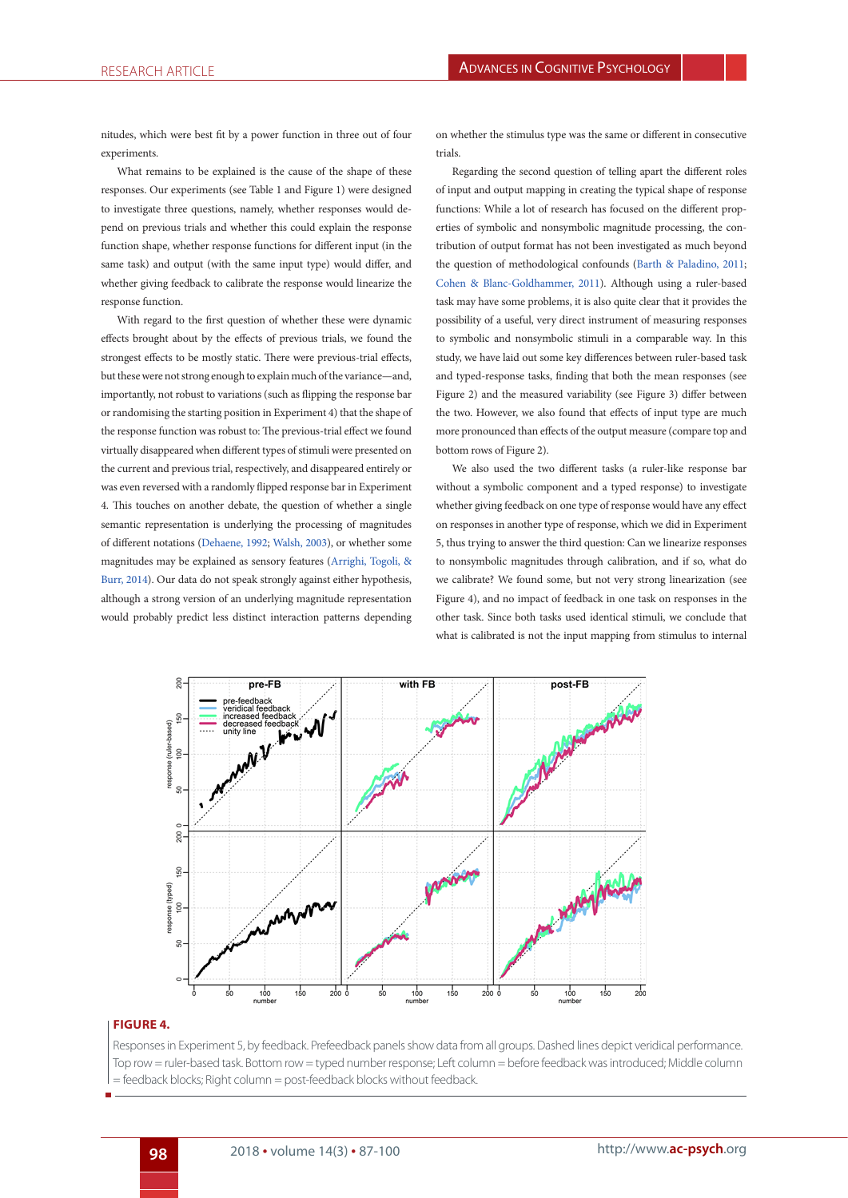nitudes, which were best fit by a power function in three out of four experiments

What remains to be explained is the cause of the shape of these responses. Our experiments (see Table 1 and Figure 1) were designed to investigate three questions, namely, whether responses would depend on previous trials and whether this could explain the response function shape, whether response functions for different input (in the same task) and output (with the same input type) would differ, and whether giving feedback to calibrate the response would linearize the response function.

With regard to the first question of whether these were dynamic effects brought about by the effects of previous trials, we found the strongest effects to be mostly static. There were previous-trial effects, but these were not strong enough to explain much of the variance—and, importantly, not robust to variations (such as flipping the response bar or randomising the starting position in Experiment 4) that the shape of the response function was robust to: The previous-trial effect we found virtually disappeared when different types of stimuli were presented on the current and previous trial, respectively, and disappeared entirely or was even reversed with a randomly flipped response bar in Experiment 4. This touches on another debate, the question of whether a single semantic representation is underlying the processing of magnitudes of different notations (Dehaene, 1992; Walsh, 2003), or whether some magnitudes may be explained as sensory features (Arrighi, Togoli, & Burr, 2014). Our data do not speak strongly against either hypothesis, although a strong version of an underlying magnitude representation would probably predict less distinct interaction patterns depending

on whether the stimulus type was the same or different in consecutive trials.

Regarding the second question of telling apart the different roles of input and output mapping in creating the typical shape of response functions: While a lot of research has focused on the different properties of symbolic and nonsymbolic magnitude processing, the contribution of output format has not been investigated as much beyond the question of methodological confounds (Barth & Paladino, 2011; Cohen & Blanc-Goldhammer, 2011). Although using a ruler-based task may have some problems, it is also quite clear that it provides the possibility of a useful, very direct instrument of measuring responses to symbolic and nonsymbolic stimuli in a comparable way. In this study, we have laid out some key differences between ruler-based task and typed-response tasks, finding that both the mean responses (see Figure 2) and the measured variability (see Figure 3) differ between the two. However, we also found that effects of input type are much more pronounced than effects of the output measure (compare top and bottom rows of Figure 2).

We also used the two different tasks (a ruler-like response bar without a symbolic component and a typed response) to investigate whether giving feedback on one type of response would have any effect on responses in another type of response, which we did in Experiment 5, thus trying to answer the third question: Can we linearize responses to nonsymbolic magnitudes through calibration, and if so, what do we calibrate? We found some, but not very strong linearization (see Figure 4), and no impact of feedback in one task on responses in the other task. Since both tasks used identical stimuli, we conclude that what is calibrated is not the input mapping from stimulus to internal



#### **FIGURE 4.**

Responses in Experiment 5, by feedback. Prefeedback panels show data from all groups. Dashed lines depict veridical performance. Top row = ruler-based task. Bottom row = typed number response; Left column = before feedback was introduced; Middle column = feedback blocks; Right column = post-feedback blocks without feedback.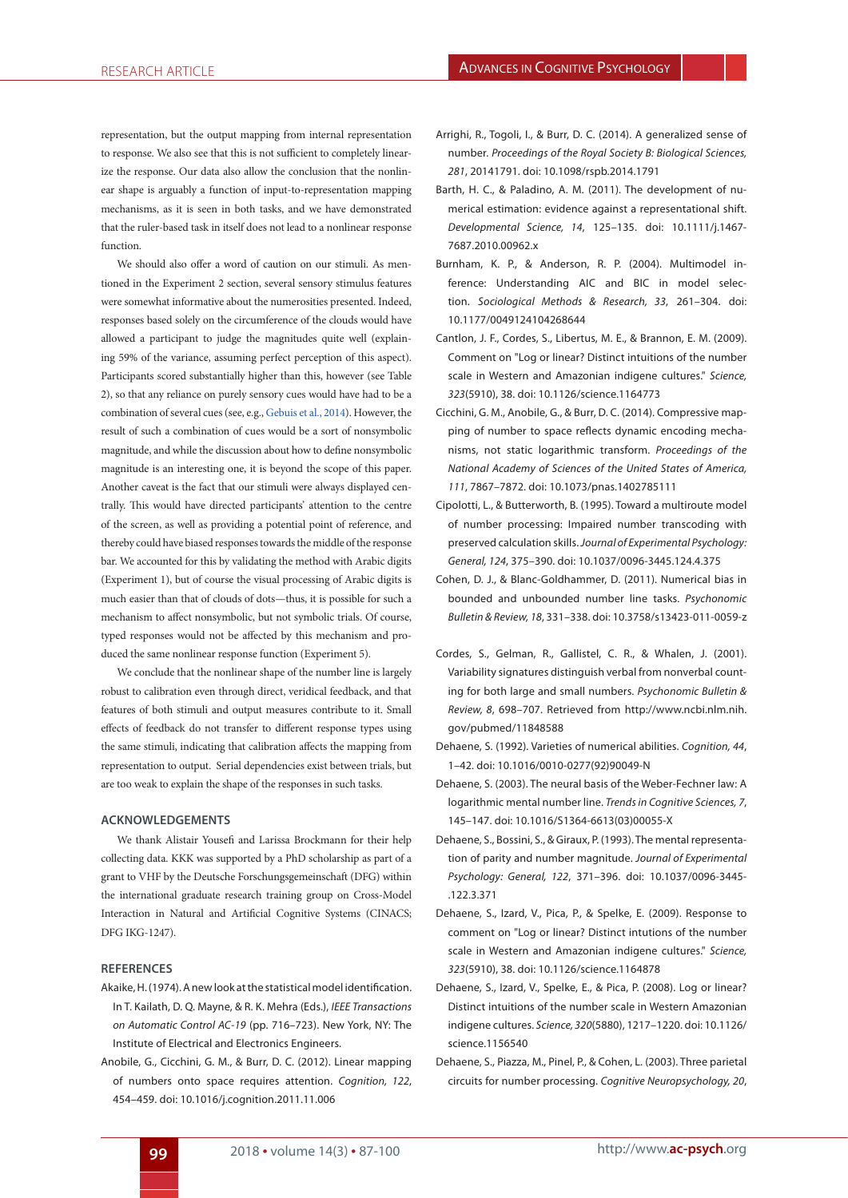representation, but the output mapping from internal representation to response. We also see that this is not sufficient to completely linearize the response. Our data also allow the conclusion that the nonlinear shape is arguably a function of input-to-representation mapping mechanisms, as it is seen in both tasks, and we have demonstrated that the ruler-based task in itself does not lead to a nonlinear response function.

We should also offer a word of caution on our stimuli. As mentioned in the Experiment 2 section, several sensory stimulus features were somewhat informative about the numerosities presented. Indeed, responses based solely on the circumference of the clouds would have allowed a participant to judge the magnitudes quite well (explaining 59% of the variance, assuming perfect perception of this aspect). Participants scored substantially higher than this, however (see Table 2), so that any reliance on purely sensory cues would have had to be a combination of several cues (see, e.g., Gebuis et al., 2014). However, the result of such a combination of cues would be a sort of nonsymbolic magnitude, and while the discussion about how to define nonsymbolic magnitude is an interesting one, it is beyond the scope of this paper. Another caveat is the fact that our stimuli were always displayed centrally. This would have directed participants' attention to the centre of the screen, as well as providing a potential point of reference, and thereby could have biased responses towards the middle of the response bar. We accounted for this by validating the method with Arabic digits (Experiment 1), but of course the visual processing of Arabic digits is much easier than that of clouds of dots—thus, it is possible for such a mechanism to affect nonsymbolic, but not symbolic trials. Of course, typed responses would not be affected by this mechanism and produced the same nonlinear response function (Experiment 5).

We conclude that the nonlinear shape of the number line is largely robust to calibration even through direct, veridical feedback, and that features of both stimuli and output measures contribute to it. Small effects of feedback do not transfer to different response types using the same stimuli, indicating that calibration affects the mapping from representation to output. Serial dependencies exist between trials, but are too weak to explain the shape of the responses in such tasks.

## **ACKNOWLEDGEMENTS**

We thank Alistair Yousefi and Larissa Brockmann for their help collecting data. KKK was supported by a PhD scholarship as part of a grant to VHF by the Deutsche Forschungsgemeinschaft (DFG) within the international graduate research training group on Cross-Model Interaction in Natural and Artificial Cognitive Systems (CINACS; DFG IKG-1247).

#### **REFERENCES**

- Akaike, H. (1974). A new look at the statistical model identification. In T. Kailath, D. Q. Mayne, & R. K. Mehra (Eds.), *IEEE Transactions on Automatic Control AC-19* (pp. 716–723). New York, NY: The Institute of Electrical and Electronics Engineers.
- Anobile, G., Cicchini, G. M., & Burr, D. C. (2012). Linear mapping of numbers onto space requires attention. *Cognition, 122*, 454–459. doi: 10.1016/j.cognition.2011.11.006
- Arrighi, R., Togoli, I., & Burr, D. C. (2014). A generalized sense of number. *Proceedings of the Royal Society B: Biological Sciences, 281*, 20141791. doi: 10.1098/rspb.2014.1791
- Barth, H. C., & Paladino, A. M. (2011). The development of numerical estimation: evidence against a representational shift. *Developmental Science, 14*, 125–135. doi: 10.1111/j.1467- 7687.2010.00962.x
- Burnham, K. P., & Anderson, R. P. (2004). Multimodel inference: Understanding AIC and BIC in model selection. *Sociological Methods & Research, 33*, 261–304. doi: 10.1177/0049124104268644
- Cantlon, J. F., Cordes, S., Libertus, M. E., & Brannon, E. M. (2009). Comment on "Log or linear? Distinct intuitions of the number scale in Western and Amazonian indigene cultures." *Science, 323*(5910), 38. doi: 10.1126/science.1164773
- Cicchini, G. M., Anobile, G., & Burr, D. C. (2014). Compressive mapping of number to space reflects dynamic encoding mechanisms, not static logarithmic transform. *Proceedings of the National Academy of Sciences of the United States of America, 111*, 7867–7872. doi: 10.1073/pnas.1402785111
- Cipolotti, L., & Butterworth, B. (1995). Toward a multiroute model of number processing: Impaired number transcoding with preserved calculation skills. *Journal of Experimental Psychology: General, 124*, 375–390. doi: 10.1037/0096-3445.124.4.375
- Cohen, D. J., & Blanc-Goldhammer, D. (2011). Numerical bias in bounded and unbounded number line tasks. *Psychonomic Bulletin & Review, 18*, 331–338. doi: 10.3758/s13423-011-0059-z
- Cordes, S., Gelman, R., Gallistel, C. R., & Whalen, J. (2001). Variability signatures distinguish verbal from nonverbal counting for both large and small numbers. *Psychonomic Bulletin & Review, 8*, 698–707. Retrieved from http://www.ncbi.nlm.nih. gov/pubmed/11848588
- Dehaene, S. (1992). Varieties of numerical abilities. *Cognition, 44*, 1–42. doi: 10.1016/0010-0277(92)90049-N
- Dehaene, S. (2003). The neural basis of the Weber-Fechner law: A logarithmic mental number line. *Trends in Cognitive Sciences, 7*, 145–147. doi: 10.1016/S1364-6613(03)00055-X
- Dehaene, S., Bossini, S., & Giraux, P. (1993). The mental representation of parity and number magnitude. *Journal of Experimental Psychology: General, 122*, 371–396. doi: 10.1037/0096-3445- .122.3.371
- Dehaene, S., Izard, V., Pica, P., & Spelke, E. (2009). Response to comment on "Log or linear? Distinct intutions of the number scale in Western and Amazonian indigene cultures." *Science, 323*(5910), 38. doi: 10.1126/science.1164878
- Dehaene, S., Izard, V., Spelke, E., & Pica, P. (2008). Log or linear? Distinct intuitions of the number scale in Western Amazonian indigene cultures. *Science, 320*(5880), 1217–1220. doi: 10.1126/ science.1156540
- Dehaene, S., Piazza, M., Pinel, P., & Cohen, L. (2003). Three parietal circuits for number processing. *Cognitive Neuropsychology, 20*,